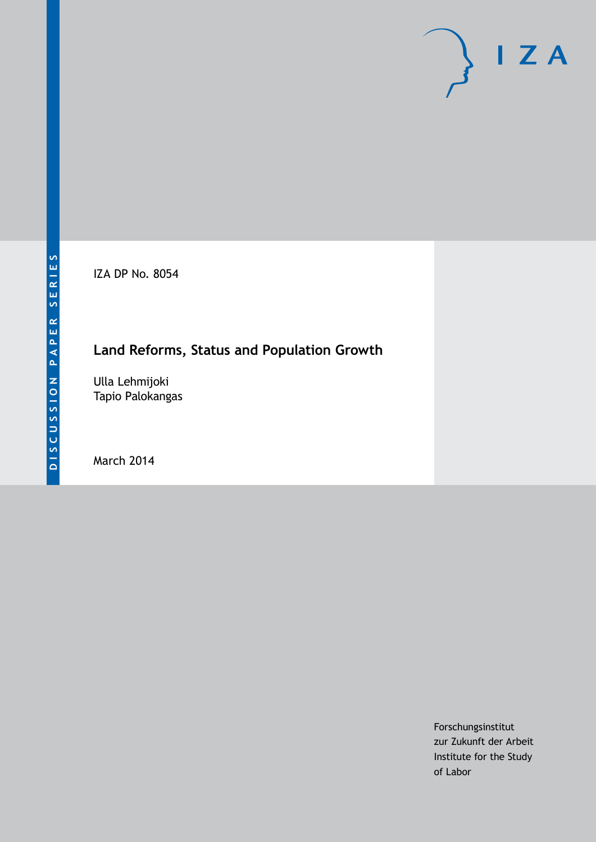IZA DP No. 8054

# **Land Reforms, Status and Population Growth**

Ulla Lehmijoki Tapio Palokangas

March 2014

Forschungsinstitut zur Zukunft der Arbeit Institute for the Study of Labor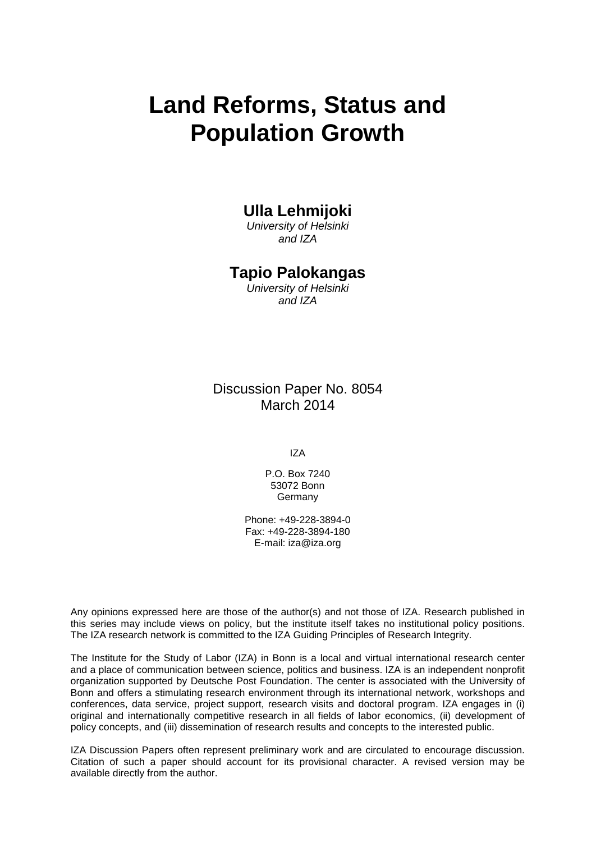# **Land Reforms, Status and Population Growth**

#### **Ulla Lehmijoki**

*University of Helsinki and IZA*

#### **Tapio Palokangas**

*University of Helsinki and IZA*

Discussion Paper No. 8054 March 2014

IZA

P.O. Box 7240 53072 Bonn **Germany** 

Phone: +49-228-3894-0 Fax: +49-228-3894-180 E-mail: [iza@iza.org](mailto:iza@iza.org)

Any opinions expressed here are those of the author(s) and not those of IZA. Research published in this series may include views on policy, but the institute itself takes no institutional policy positions. The IZA research network is committed to the IZA Guiding Principles of Research Integrity.

The Institute for the Study of Labor (IZA) in Bonn is a local and virtual international research center and a place of communication between science, politics and business. IZA is an independent nonprofit organization supported by Deutsche Post Foundation. The center is associated with the University of Bonn and offers a stimulating research environment through its international network, workshops and conferences, data service, project support, research visits and doctoral program. IZA engages in (i) original and internationally competitive research in all fields of labor economics, (ii) development of policy concepts, and (iii) dissemination of research results and concepts to the interested public.

IZA Discussion Papers often represent preliminary work and are circulated to encourage discussion. Citation of such a paper should account for its provisional character. A revised version may be available directly from the author.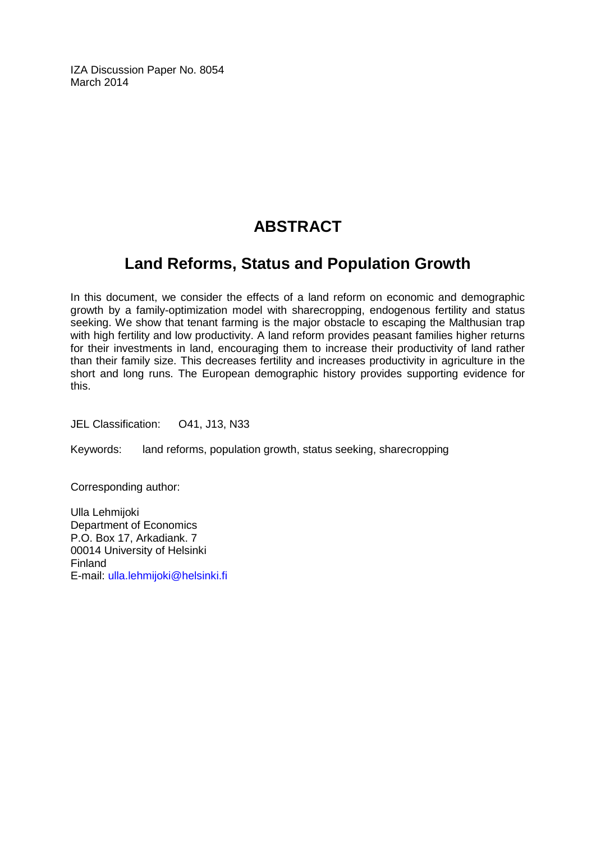IZA Discussion Paper No. 8054 March 2014

# **ABSTRACT**

# **Land Reforms, Status and Population Growth**

In this document, we consider the effects of a land reform on economic and demographic growth by a family-optimization model with sharecropping, endogenous fertility and status seeking. We show that tenant farming is the major obstacle to escaping the Malthusian trap with high fertility and low productivity. A land reform provides peasant families higher returns for their investments in land, encouraging them to increase their productivity of land rather than their family size. This decreases fertility and increases productivity in agriculture in the short and long runs. The European demographic history provides supporting evidence for this.

JEL Classification: O41, J13, N33

Keywords: land reforms, population growth, status seeking, sharecropping

Corresponding author:

Ulla Lehmijoki Department of Economics P.O. Box 17, Arkadiank. 7 00014 University of Helsinki Finland E-mail: [ulla.lehmijoki@helsinki.fi](mailto:ulla.lehmijoki@helsinki.fi)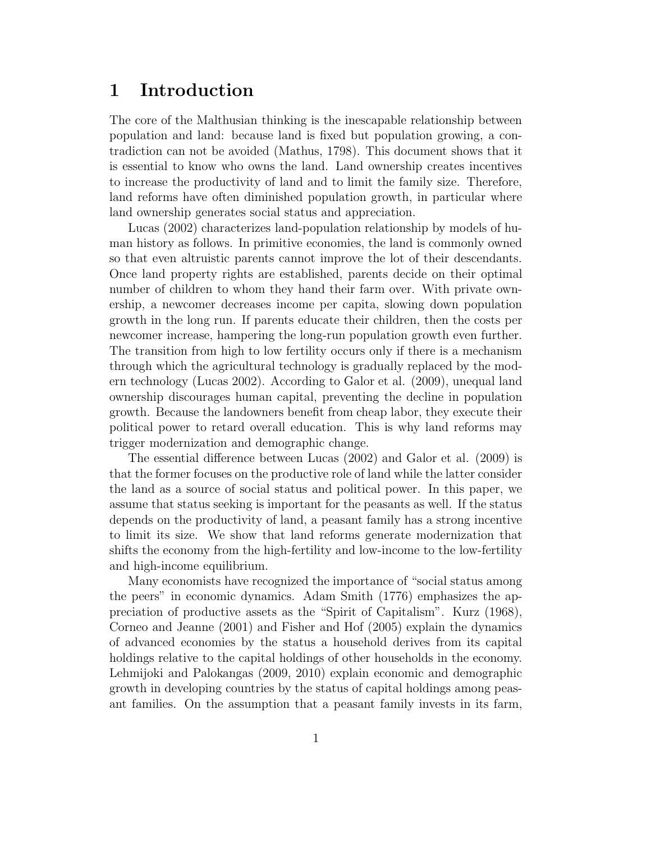#### **1 Introduction**

The core of the Malthusian thinking is the inescapable relationship between population and land: because land is fixed but population growing, a contradiction can not be avoided (Mathus, 1798). This document shows that it is essential to know who owns the land. Land ownership creates incentives to increase the productivity of land and to limit the family size. Therefore, land reforms have often diminished population growth, in particular where land ownership generates social status and appreciation.

Lucas (2002) characterizes land-population relationship by models of human history as follows. In primitive economies, the land is commonly owned so that even altruistic parents cannot improve the lot of their descendants. Once land property rights are established, parents decide on their optimal number of children to whom they hand their farm over. With private ownership, a newcomer decreases income per capita, slowing down population growth in the long run. If parents educate their children, then the costs per newcomer increase, hampering the long-run population growth even further. The transition from high to low fertility occurs only if there is a mechanism through which the agricultural technology is gradually replaced by the modern technology (Lucas 2002). According to Galor et al. (2009), unequal land ownership discourages human capital, preventing the decline in population growth. Because the landowners benefit from cheap labor, they execute their political power to retard overall education. This is why land reforms may trigger modernization and demographic change.

The essential difference between Lucas (2002) and Galor et al. (2009) is that the former focuses on the productive role of land while the latter consider the land as a source of social status and political power. In this paper, we assume that status seeking is important for the peasants as well. If the status depends on the productivity of land, a peasant family has a strong incentive to limit its size. We show that land reforms generate modernization that shifts the economy from the high-fertility and low-income to the low-fertility and high-income equilibrium.

Many economists have recognized the importance of "social status among the peers" in economic dynamics. Adam Smith (1776) emphasizes the appreciation of productive assets as the "Spirit of Capitalism". Kurz (1968), Corneo and Jeanne (2001) and Fisher and Hof (2005) explain the dynamics of advanced economies by the status a household derives from its capital holdings relative to the capital holdings of other households in the economy. Lehmijoki and Palokangas (2009, 2010) explain economic and demographic growth in developing countries by the status of capital holdings among peasant families. On the assumption that a peasant family invests in its farm,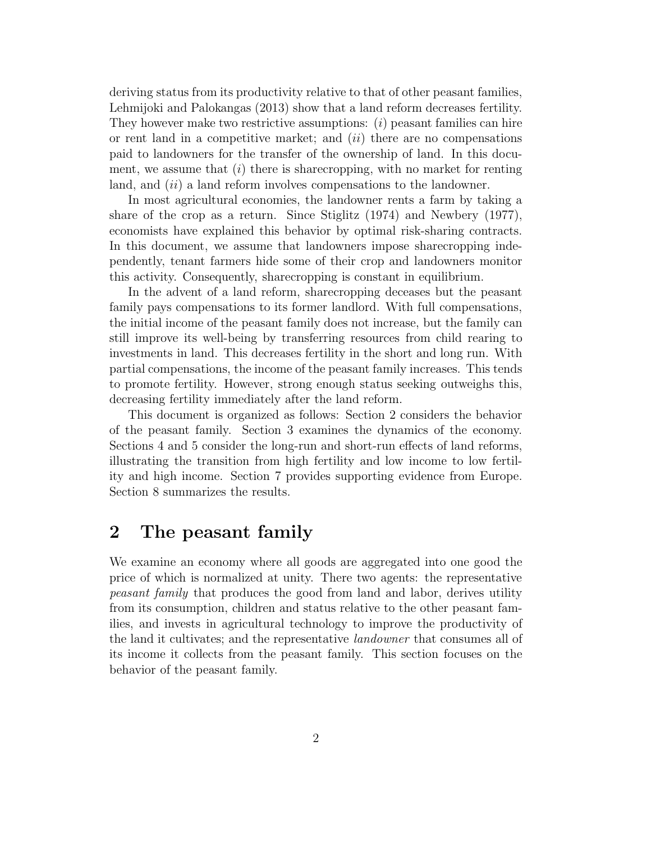deriving status from its productivity relative to that of other peasant families, Lehmijoki and Palokangas (2013) show that a land reform decreases fertility. They however make two restrictive assumptions: (i) peasant families can hire or rent land in a competitive market; and  $(ii)$  there are no compensations paid to landowners for the transfer of the ownership of land. In this document, we assume that  $(i)$  there is sharecropping, with no market for renting land, and  $(ii)$  a land reform involves compensations to the landowner.

In most agricultural economies, the landowner rents a farm by taking a share of the crop as a return. Since Stiglitz (1974) and Newbery (1977), economists have explained this behavior by optimal risk-sharing contracts. In this document, we assume that landowners impose sharecropping independently, tenant farmers hide some of their crop and landowners monitor this activity. Consequently, sharecropping is constant in equilibrium.

In the advent of a land reform, sharecropping deceases but the peasant family pays compensations to its former landlord. With full compensations, the initial income of the peasant family does not increase, but the family can still improve its well-being by transferring resources from child rearing to investments in land. This decreases fertility in the short and long run. With partial compensations, the income of the peasant family increases. This tends to promote fertility. However, strong enough status seeking outweighs this, decreasing fertility immediately after the land reform.

This document is organized as follows: Section 2 considers the behavior of the peasant family. Section 3 examines the dynamics of the economy. Sections 4 and 5 consider the long-run and short-run effects of land reforms, illustrating the transition from high fertility and low income to low fertility and high income. Section 7 provides supporting evidence from Europe. Section 8 summarizes the results.

#### **2 The peasant family**

We examine an economy where all goods are aggregated into one good the price of which is normalized at unity. There two agents: the representative peasant family that produces the good from land and labor, derives utility from its consumption, children and status relative to the other peasant families, and invests in agricultural technology to improve the productivity of the land it cultivates; and the representative landowner that consumes all of its income it collects from the peasant family. This section focuses on the behavior of the peasant family.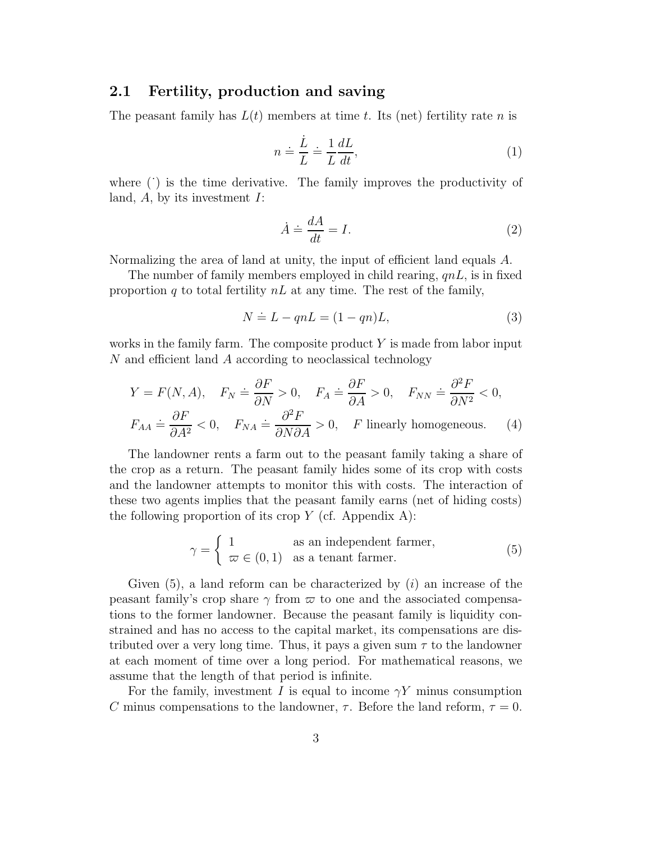#### **2.1 Fertility, production and saving**

The peasant family has  $L(t)$  members at time t. Its (net) fertility rate n is

$$
n \doteq \frac{\dot{L}}{L} \doteq \frac{1}{L} \frac{dL}{dt},\tag{1}
$$

where  $($ ) is the time derivative. The family improves the productivity of land,  $A$ , by its investment  $I$ :

$$
\dot{A} \doteq \frac{dA}{dt} = I. \tag{2}
$$

Normalizing the area of land at unity, the input of efficient land equals A.

The number of family members employed in child rearing,  $qnL$ , is in fixed proportion q to total fertility  $nL$  at any time. The rest of the family,

$$
N \doteq L - qnL = (1 - qn)L,\t\t(3)
$$

works in the family farm. The composite product  $Y$  is made from labor input N and efficient land A according to neoclassical technology

$$
Y = F(N, A), \quad F_N \doteq \frac{\partial F}{\partial N} > 0, \quad F_A \doteq \frac{\partial F}{\partial A} > 0, \quad F_{NN} \doteq \frac{\partial^2 F}{\partial N^2} < 0,
$$
  

$$
F_{AA} \doteq \frac{\partial F}{\partial A^2} < 0, \quad F_{NA} \doteq \frac{\partial^2 F}{\partial N \partial A} > 0, \quad F \text{ linearly homogeneous.} \tag{4}
$$

The landowner rents a farm out to the peasant family taking a share of the crop as a return. The peasant family hides some of its crop with costs and the landowner attempts to monitor this with costs. The interaction of these two agents implies that the peasant family earns (net of hiding costs) the following proportion of its crop  $Y$  (cf. Appendix A):

$$
\gamma = \begin{cases} 1 & \text{as an independent farmer,} \\ \varpi \in (0,1) & \text{as a tenant farmer.} \end{cases}
$$
 (5)

Given  $(5)$ , a land reform can be characterized by  $(i)$  an increase of the peasant family's crop share  $\gamma$  from  $\varpi$  to one and the associated compensations to the former landowner. Because the peasant family is liquidity constrained and has no access to the capital market, its compensations are distributed over a very long time. Thus, it pays a given sum  $\tau$  to the landowner at each moment of time over a long period. For mathematical reasons, we assume that the length of that period is infinite.

For the family, investment I is equal to income  $\gamma Y$  minus consumption C minus compensations to the landowner,  $\tau$ . Before the land reform,  $\tau = 0$ .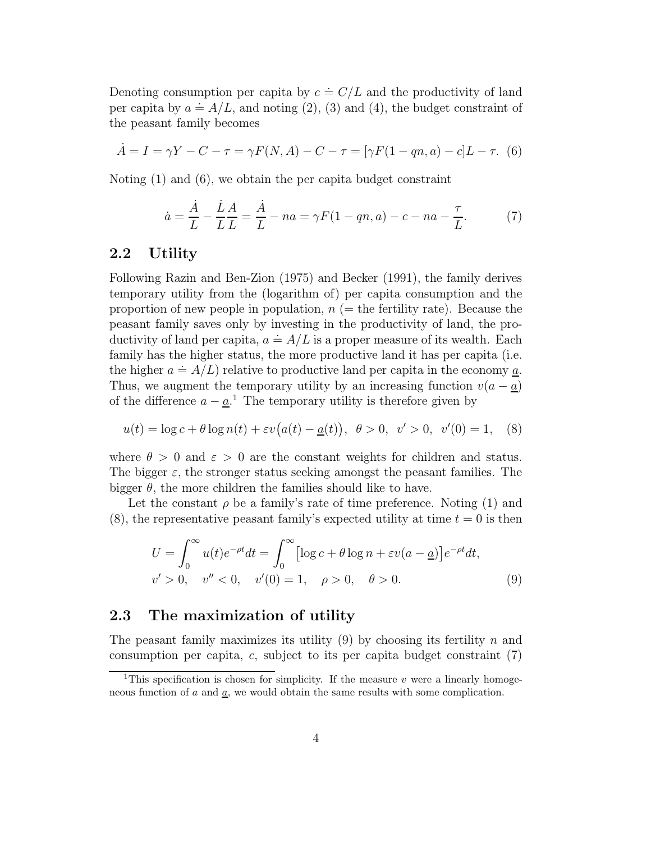Denoting consumption per capita by  $c = C/L$  and the productivity of land Denoting consumption per capita by  $c = C/L$  and the productivity of fand<br>per capita by  $a = A/L$ , and noting (2), (3) and (4), the budget constraint of the peasant family becomes

$$
\dot{A} = I = \gamma Y - C - \tau = \gamma F(N, A) - C - \tau = [\gamma F(1 - qn, a) - c]L - \tau.
$$
 (6)

Noting (1) and (6), we obtain the per capita budget constraint

$$
\dot{a} = \frac{\dot{A}}{L} - \frac{\dot{L}}{L}\frac{A}{L} = \frac{\dot{A}}{L} - na = \gamma F(1 - qn, a) - c - na - \frac{\tau}{L}.
$$
 (7)

#### **2.2 Utility**

Following Razin and Ben-Zion (1975) and Becker (1991), the family derives temporary utility from the (logarithm of) per capita consumption and the proportion of new people in population,  $n (=$  the fertility rate). Because the peasant family saves only by investing in the productivity of land, the propeasant rainity saves only by investing in the productivity of land, the pro-<br>ductivity of land per capita,  $a \doteq A/L$  is a proper measure of its wealth. Each family has the higher status, the more productive land it has per capita (i.e. ramify has the higher status, the more productive land it has per capita (i.e.<br>the higher  $a \doteq A/L$ ) relative to productive land per capita in the economy <u>a</u>. Thus, we augment the temporary utility by an increasing function  $v(a - \underline{a})$ of the difference  $a - \underline{a}$ <sup>1</sup>. The temporary utility is therefore given by

$$
u(t) = \log c + \theta \log n(t) + \varepsilon v (a(t) - \underline{a}(t)), \ \theta > 0, \ \ v' > 0, \ \ v'(0) = 1,\tag{8}
$$

where  $\theta > 0$  and  $\varepsilon > 0$  are the constant weights for children and status. The bigger  $\varepsilon$ , the stronger status seeking amongst the peasant families. The bigger  $\theta$ , the more children the families should like to have.

Let the constant  $\rho$  be a family's rate of time preference. Noting (1) and  $(8)$ , the representative peasant family's expected utility at time  $t = 0$  is then

$$
U = \int_0^\infty u(t)e^{-\rho t}dt = \int_0^\infty \left[\log c + \theta \log n + \varepsilon v(a - \underline{a})\right]e^{-\rho t}dt,
$$
  
\n
$$
v' > 0, \quad v'' < 0, \quad v'(0) = 1, \quad \rho > 0, \quad \theta > 0.
$$
\n(9)

#### **2.3 The maximization of utility**

The peasant family maximizes its utility  $(9)$  by choosing its fertility n and consumption per capita,  $c$ , subject to its per capita budget constraint  $(7)$ 

<sup>&</sup>lt;sup>1</sup>This specification is chosen for simplicity. If the measure v were a linearly homogeneous function of  $a$  and  $\underline{a}$ , we would obtain the same results with some complication.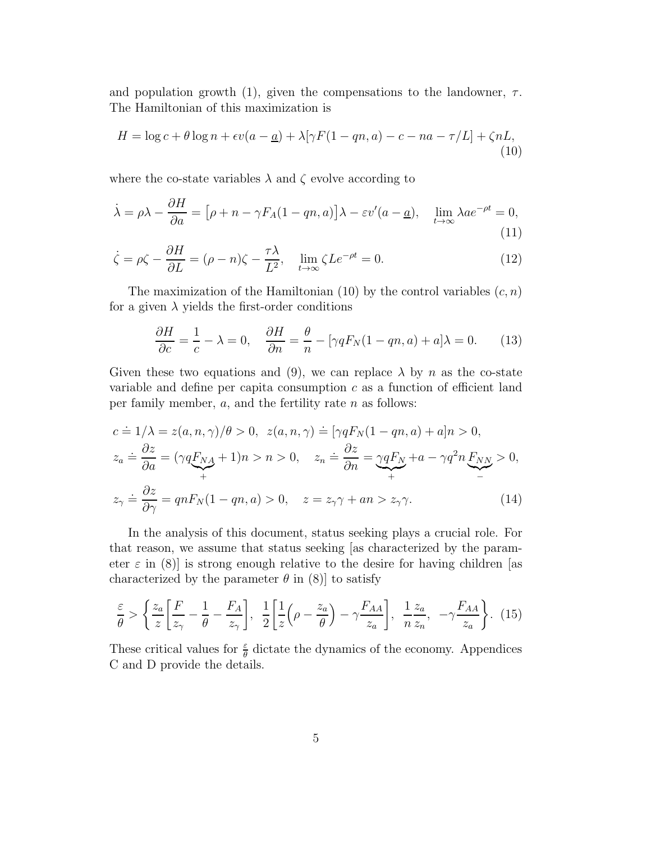and population growth (1), given the compensations to the landowner,  $\tau$ . The Hamiltonian of this maximization is

$$
H = \log c + \theta \log n + \epsilon v(a - \underline{a}) + \lambda [\gamma F(1 - qn, a) - c - na - \tau/L] + \zeta nL,
$$
\n(10)

where the co-state variables  $\lambda$  and  $\zeta$  evolve according to

$$
\dot{\lambda} = \rho \lambda - \frac{\partial H}{\partial a} = \left[\rho + n - \gamma F_A (1 - qn, a)\right] \lambda - \varepsilon v'(a - \underline{a}), \quad \lim_{t \to \infty} \lambda a e^{-\rho t} = 0,
$$
\n(11)

$$
\dot{\zeta} = \rho \zeta - \frac{\partial H}{\partial L} = (\rho - n)\zeta - \frac{\tau \lambda}{L^2}, \quad \lim_{t \to \infty} \zeta L e^{-\rho t} = 0.
$$
\n(12)

The maximization of the Hamiltonian (10) by the control variables  $(c, n)$ for a given  $\lambda$  yields the first-order conditions

$$
\frac{\partial H}{\partial c} = \frac{1}{c} - \lambda = 0, \quad \frac{\partial H}{\partial n} = \frac{\theta}{n} - [\gamma q F_N (1 - q n, a) + a] \lambda = 0. \tag{13}
$$

Given these two equations and (9), we can replace  $\lambda$  by n as the co-state variable and define per capita consumption  $c$  as a function of efficient land per family member,  $a$ , and the fertility rate  $n$  as follows:

$$
c = 1/\lambda = z(a, n, \gamma)/\theta > 0, \ z(a, n, \gamma) = [\gamma q F_N(1 - qn, a) + a]n > 0,
$$
  
\n
$$
z_a = \frac{\partial z}{\partial a} = (\gamma q F_{NA} + 1)n > n > 0, \ z_n = \frac{\partial z}{\partial n} = \underbrace{\gamma q F_N}_{+} + a - \gamma q^2 n F_{NN} > 0,
$$
  
\n
$$
z_\gamma = \frac{\partial z}{\partial \gamma} = q n F_N(1 - qn, a) > 0, \ z = z_\gamma \gamma + a n > z_\gamma \gamma.
$$
 (14)

In the analysis of this document, status seeking plays a crucial role. For that reason, we assume that status seeking [as characterized by the parameter  $\varepsilon$  in (8)] is strong enough relative to the desire for having children [as characterized by the parameter  $\theta$  in (8)] to satisfy

$$
\frac{\varepsilon}{\theta} > \left\{ \frac{z_a}{z} \left[ \frac{F}{z_\gamma} - \frac{1}{\theta} - \frac{F_A}{z_\gamma} \right], \frac{1}{2} \left[ \frac{1}{z} \left( \rho - \frac{z_a}{\theta} \right) - \gamma \frac{F_{AA}}{z_a} \right], \frac{1}{n} \frac{z_a}{z_n}, -\gamma \frac{F_{AA}}{z_a} \right\}. (15)
$$

These critical values for  $\frac{\varepsilon}{\theta}$  dictate the dynamics of the economy. Appendices C and D provide the details.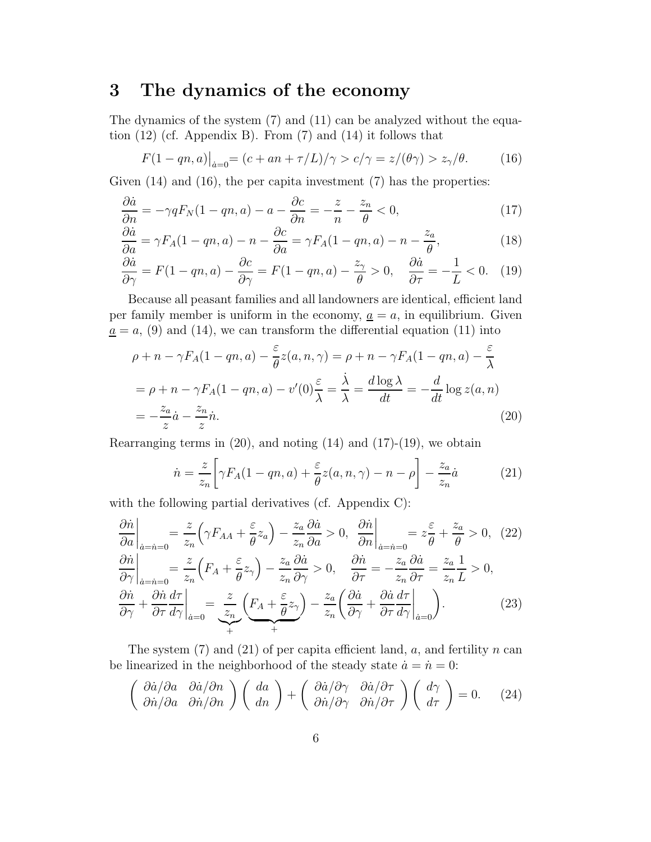# **3 The dynamics of the economy**

The dynamics of the system (7) and (11) can be analyzed without the equation  $(12)$  (cf. Appendix B). From  $(7)$  and  $(14)$  it follows that

$$
F(1 - qn, a)\big|_{\dot{a}=0} = (c + an + \tau/L)/\gamma > c/\gamma = z/(\theta \gamma) > z_{\gamma}/\theta. \tag{16}
$$

Given  $(14)$  and  $(16)$ , the per capita investment  $(7)$  has the properties:

$$
\frac{\partial \dot{a}}{\partial n} = -\gamma q F_N (1 - qn, a) - a - \frac{\partial c}{\partial n} = -\frac{z}{n} - \frac{z_n}{\theta} < 0,\tag{17}
$$

$$
\frac{\partial \dot{a}}{\partial a} = \gamma F_A (1 - qn, a) - n - \frac{\partial c}{\partial a} = \gamma F_A (1 - qn, a) - n - \frac{z_a}{\theta},\tag{18}
$$

$$
\frac{\partial \dot{a}}{\partial \gamma} = F(1 - qn, a) - \frac{\partial c}{\partial \gamma} = F(1 - qn, a) - \frac{z_{\gamma}}{\theta} > 0, \quad \frac{\partial \dot{a}}{\partial \tau} = -\frac{1}{L} < 0. \quad (19)
$$

Because all peasant families and all landowners are identical, efficient land per family member is uniform in the economy,  $\underline{a} = a$ , in equilibrium. Given  $a = a$ , (9) and (14), we can transform the differential equation (11) into

$$
\rho + n - \gamma F_A (1 - qn, a) - \frac{\varepsilon}{\theta} z(a, n, \gamma) = \rho + n - \gamma F_A (1 - qn, a) - \frac{\varepsilon}{\lambda}
$$
  
=  $\rho + n - \gamma F_A (1 - qn, a) - v'(0) \frac{\varepsilon}{\lambda} = \frac{\lambda}{\lambda} = \frac{d \log \lambda}{dt} = -\frac{d}{dt} \log z(a, n)$   
=  $-\frac{z_a}{z} \dot{a} - \frac{z_n}{z} \dot{n}.$  (20)

Rearranging terms in  $(20)$ , and noting  $(14)$  and  $(17)-(19)$ , we obtain

$$
\dot{n} = \frac{z}{z_n} \bigg[ \gamma F_A(1 - qn, a) + \frac{\varepsilon}{\theta} z(a, n, \gamma) - n - \rho \bigg] - \frac{z_a}{z_n} \dot{a} \tag{21}
$$

with the following partial derivatives (cf. Appendix C):

$$
\frac{\partial \dot{n}}{\partial a}\Big|_{\dot{a}=\dot{n}=0} = \frac{z}{z_n} \Big(\gamma F_{AA} + \frac{\varepsilon}{\theta} z_a\Big) - \frac{z_a}{z_n} \frac{\partial \dot{a}}{\partial a} > 0, \quad \frac{\partial \dot{n}}{\partial n}\Big|_{\dot{a}=\dot{n}=0} = z_{\theta}^{\varepsilon} + \frac{z_a}{\theta} > 0, \quad (22)
$$
\n
$$
\frac{\partial \dot{n}}{\partial \gamma}\Big|_{\dot{a}=\dot{n}=0} = \frac{z}{z_n} \Big(F_A + \frac{\varepsilon}{\theta} z_\gamma\Big) - \frac{z_a}{z_n} \frac{\partial \dot{a}}{\partial \gamma} > 0, \quad \frac{\partial \dot{n}}{\partial \tau} = -\frac{z_a}{z_n} \frac{\partial \dot{a}}{\partial \tau} = \frac{z_a}{z_n} \frac{1}{L} > 0,
$$
\n
$$
\frac{\partial \dot{n}}{\partial \gamma} + \frac{\partial \dot{n}}{\partial \tau} \frac{d\tau}{d \gamma}\Big|_{\dot{a}=0} = \frac{z}{z_n} \Big(F_A + \frac{\varepsilon}{\theta} z_\gamma\Big) - \frac{z_a}{z_n} \Big(\frac{\partial \dot{a}}{\partial \gamma} + \frac{\partial \dot{a}}{\partial \tau} \frac{d\tau}{d \gamma}\Big|_{\dot{a}=0} \Big). \tag{23}
$$

The system  $(7)$  and  $(21)$  of per capita efficient land, a, and fertility n can be linearized in the neighborhood of the steady state  $\dot{a} = \dot{n} = 0$ :

$$
\begin{pmatrix}\n\frac{\partial \dot{a}}{\partial n} & \frac{\partial \dot{a}}{\partial n} \\
\frac{\partial \dot{a}}{\partial n} & \frac{\partial \dot{a}}{\partial n}\n\end{pmatrix}\n\begin{pmatrix}\nda \\
dn\n\end{pmatrix} +\n\begin{pmatrix}\n\frac{\partial \dot{a}}{\partial \gamma} & \frac{\partial \dot{a}}{\partial \tau} \\
\frac{\partial \dot{a}}{\partial \gamma} & \frac{\partial \dot{a}}{\partial \tau}\n\end{pmatrix}\n\begin{pmatrix}\nd\gamma \\
d\tau\n\end{pmatrix} = 0.
$$
\n(24)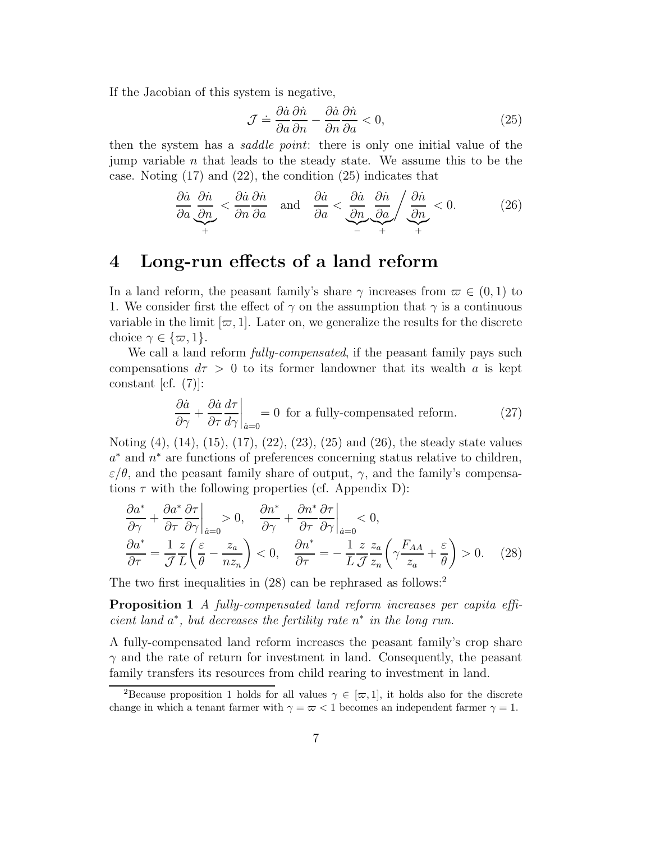If the Jacobian of this system is negative,

$$
\mathcal{J} \doteq \frac{\partial \dot{a}}{\partial a} \frac{\partial \dot{n}}{\partial n} - \frac{\partial \dot{a}}{\partial n} \frac{\partial \dot{n}}{\partial a} < 0,\tag{25}
$$

then the system has a *saddle point*: there is only one initial value of the jump variable n that leads to the steady state. We assume this to be the case. Noting (17) and (22), the condition (25) indicates that

$$
\frac{\partial \dot{a}}{\partial a} \frac{\partial \dot{n}}{\partial n} < \frac{\partial \dot{a}}{\partial n} \frac{\partial \dot{n}}{\partial a} \quad \text{and} \quad \frac{\partial \dot{a}}{\partial a} < \underbrace{\frac{\partial \dot{a}}{\partial n}}_{-} \frac{\partial \dot{n}}{\partial a} / \underbrace{\frac{\partial \dot{n}}{\partial n}}_{+} < 0. \tag{26}
$$

### **4 Long-run effects of a land reform**

In a land reform, the peasant family's share  $\gamma$  increases from  $\varpi \in (0,1)$  to 1. We consider first the effect of  $\gamma$  on the assumption that  $\gamma$  is a continuous variable in the limit  $[\varpi, 1]$ . Later on, we generalize the results for the discrete choice  $\gamma \in \{\varpi, 1\}.$ 

We call a land reform *fully-compensated*, if the peasant family pays such compensations  $d\tau > 0$  to its former landowner that its wealth a is kept constant  $|cf. (7)|$ :

$$
\frac{\partial \dot{a}}{\partial \gamma} + \frac{\partial \dot{a}}{\partial \tau} \frac{d\tau}{d\gamma} \bigg|_{\dot{a}=0} = 0
$$
 for a fully-compensated reform. (27)

Noting (4), (14), (15), (17), (22), (23), (25) and (26), the steady state values a<sup>∗</sup> and n<sup>∗</sup> are functions of preferences concerning status relative to children,  $\varepsilon/\theta$ , and the peasant family share of output,  $\gamma$ , and the family's compensations  $\tau$  with the following properties (cf. Appendix D):

$$
\frac{\partial a^*}{\partial \gamma} + \frac{\partial a^*}{\partial \tau} \frac{\partial \tau}{\partial \gamma}\Big|_{\dot{a}=0} > 0, \quad \frac{\partial n^*}{\partial \gamma} + \frac{\partial n^*}{\partial \tau} \frac{\partial \tau}{\partial \gamma}\Big|_{\dot{a}=0} < 0,
$$
  

$$
\frac{\partial a^*}{\partial \tau} = \frac{1}{\mathcal{J}} \frac{z}{L} \left(\frac{\varepsilon}{\theta} - \frac{z_a}{nz_n}\right) < 0, \quad \frac{\partial n^*}{\partial \tau} = -\frac{1}{L} \frac{z}{\mathcal{J}} \frac{z_a}{z_n} \left(\gamma \frac{F_{AA}}{z_a} + \frac{\varepsilon}{\theta}\right) > 0.
$$
(28)

The two first inequalities in  $(28)$  can be rephrased as follows:<sup>2</sup>

**Proposition 1** A fully-compensated land reform increases per capita efficient land  $a^*$ , but decreases the fertility rate  $n^*$  in the long run.

A fully-compensated land reform increases the peasant family's crop share  $\gamma$  and the rate of return for investment in land. Consequently, the peasant family transfers its resources from child rearing to investment in land.

<sup>&</sup>lt;sup>2</sup>Because proposition 1 holds for all values  $\gamma \in [\varpi, 1]$ , it holds also for the discrete change in which a tenant farmer with  $\gamma = \overline{\omega} < 1$  becomes an independent farmer  $\gamma = 1$ .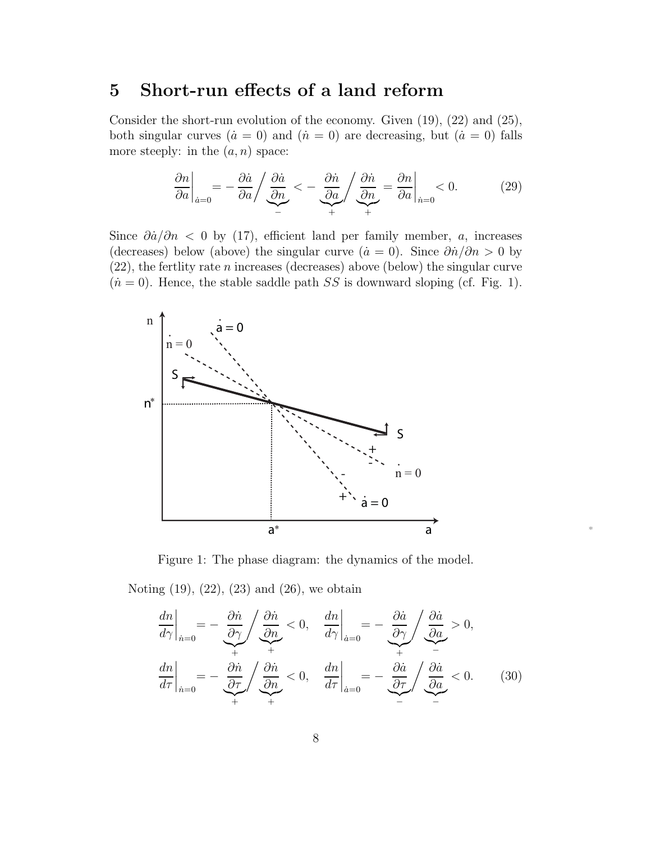# **5 Short-run effects of a land reform**

Consider the short-run evolution of the economy. Given  $(19)$ ,  $(22)$  and  $(25)$ , both singular curves  $(\dot{a} = 0)$  and  $(\dot{n} = 0)$  are decreasing, but  $(\dot{a} = 0)$  falls more steeply: in the  $(a, n)$  space:

$$
\frac{\partial n}{\partial a}\bigg|_{\dot{a}=0} = -\frac{\partial \dot{a}}{\partial a} / \underbrace{\frac{\partial \dot{a}}{\partial n}}_{-} < -\underbrace{\frac{\partial \dot{n}}{\partial a}}_{+} / \underbrace{\frac{\partial \dot{n}}{\partial n}}_{+} = \frac{\partial n}{\partial a}\bigg|_{\dot{n}=0} < 0. \tag{29}
$$

Since  $\partial \dot{a}/\partial n$  < 0 by (17), efficient land per family member, a, increases (decreases) below (above) the singular curve ( $\dot{a} = 0$ ). Since  $\partial \dot{n}/\partial n > 0$  by  $(22)$ , the fertlity rate *n* increases (decreases) above (below) the singular curve  $(n = 0)$ . Hence, the stable saddle path SS is downward sloping (cf. Fig. 1).



Figure 1: The phase diagram: the dynamics of the model.

Noting (19), (22), (23) and (26), we obtain

$$
\frac{dn}{d\gamma}\Big|_{\hat{n}=0} = -\frac{\partial \hat{n}}{\partial \gamma} \Bigg/ \frac{\partial \hat{n}}{\partial n} < 0, \quad \frac{dn}{d\gamma}\Big|_{\hat{n}=0} = -\frac{\partial \hat{a}}{\partial \gamma} \Bigg/ \frac{\partial \hat{a}}{\partial a} > 0,
$$
\n
$$
\frac{dn}{d\tau}\Big|_{\hat{n}=0} = -\frac{\partial \hat{n}}{\partial \tau} \Bigg/ \frac{\partial \hat{n}}{\partial n} < 0, \quad \frac{dn}{d\tau}\Big|_{\hat{n}=0} = -\frac{\partial \hat{a}}{\partial \tau} \Bigg/ \frac{\partial \hat{a}}{\partial a} < 0. \tag{30}
$$

\*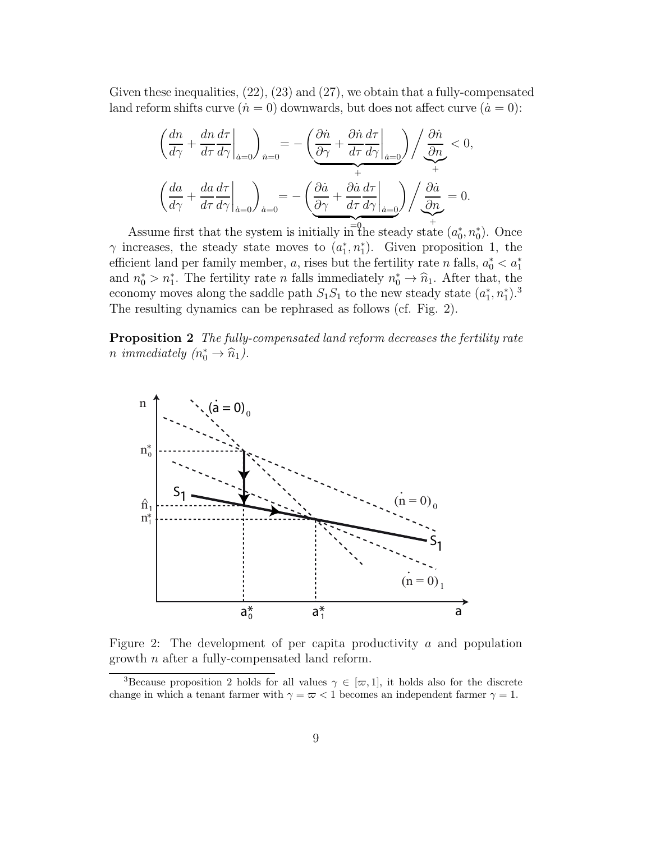Given these inequalities, (22), (23) and (27), we obtain that a fully-compensated land reform shifts curve  $(i = 0)$  downwards, but does not affect curve  $(i = 0)$ :

$$
\left(\frac{dn}{d\gamma} + \frac{dn}{d\tau}\frac{d\tau}{d\gamma}\bigg|_{\dot{a}=0}\right)_{\dot{n}=0} = -\left(\underbrace{\frac{\partial \dot{n}}{\partial \gamma} + \frac{\partial \dot{n}}{d\tau}\frac{d\tau}{d\gamma}}_{+\dot{a}+\dot{a}}\right) / \underbrace{\frac{\partial \dot{n}}{\partial n}}_{+\dot{b}} < 0,
$$
\n
$$
\left(\frac{da}{d\gamma} + \frac{da}{d\tau}\frac{d\tau}{d\gamma}\bigg|_{\dot{a}=0}\right)_{\dot{a}=0} = -\left(\underbrace{\frac{\partial \dot{a}}{\partial \gamma} + \frac{\partial \dot{a}}{d\tau}\frac{d\tau}{d\gamma}\bigg|_{\dot{a}=0}\right) / \underbrace{\frac{\partial \dot{a}}{\partial n}}_{+\dot{b}} = 0.
$$

Assume first that the system is initially in the steady state  $(a_0^*, n_0^*)$ . Once  $\gamma$  increases, the steady state moves to  $(a_1^*, n_1^*)$ . Given proposition 1, the efficient land per family member, a, rises but the fertility rate n falls,  $a_0^* < a_1^*$ and  $n_0^* > n_1^*$ . The fertility rate *n* falls immediately  $n_0^* \to \hat{n}_1$ . After that, the economy moves along the saddle path  $S_1S_1$  to the new steady state  $(a_1^*, n_1^*)$ .<sup>3</sup> The resulting dynamics can be rephrased as follows (cf. Fig. 2).

**Proposition 2** The fully-compensated land reform decreases the fertility rate *n* immediately  $(n_0^* \rightarrow \hat{n}_1)$ .



Figure 2: The development of per capita productivity  $\alpha$  and population growth n after a fully-compensated land reform.

<sup>&</sup>lt;sup>3</sup>Because proposition 2 holds for all values  $\gamma \in [\varpi, 1]$ , it holds also for the discrete change in which a tenant farmer with  $\gamma = \varpi < 1$  becomes an independent farmer  $\gamma = 1$ .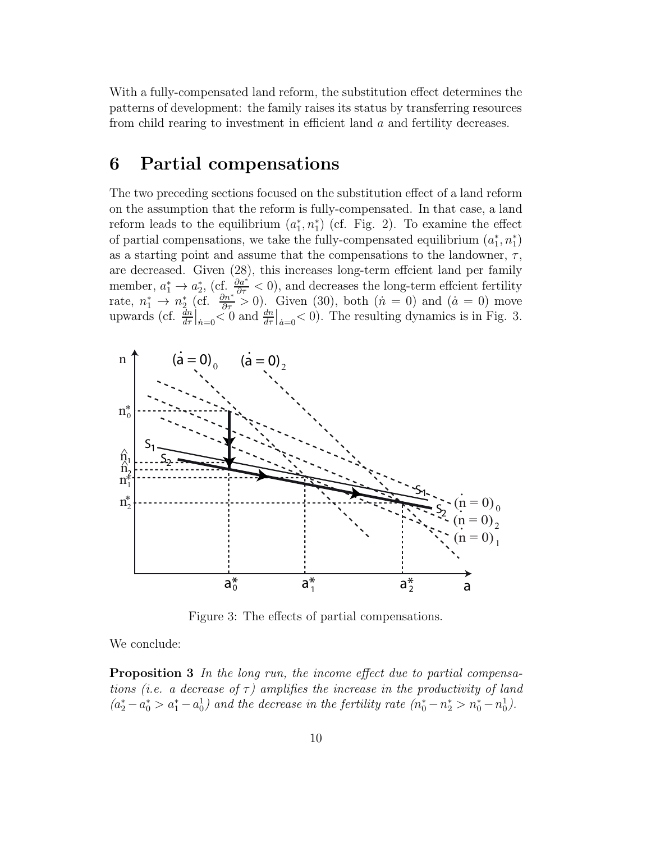With a fully-compensated land reform, the substitution effect determines the patterns of development: the family raises its status by transferring resources from child rearing to investment in efficient land a and fertility decreases.

#### **6 Partial compensations**

The two preceding sections focused on the substitution effect of a land reform on the assumption that the reform is fully-compensated. In that case, a land reform leads to the equilibrium  $(a_1^*, n_1^*)$  (cf. Fig. 2). To examine the effect of partial compensations, we take the fully-compensated equilibrium  $(a_1^*, n_1^*)$ as a starting point and assume that the compensations to the landowner,  $\tau$ , are decreased. Given (28), this increases long-term effcient land per family member,  $a_1^* \to a_2^*$ , (cf.  $\frac{\partial a^*}{\partial \tau} < 0$ ), and decreases the long-term effcient fertility rate,  $n_1^* \to n_2^*$  (cf.  $\frac{\partial n^*}{\partial \tau} > 0$ ). Given (30), both  $(n = 0)$  and  $(a = 0)$  move upwards (cf.  $\frac{d^n}{dr}\Big|_{n=0} < 0$  and  $\frac{dn}{dr}\Big|_{a=0} < 0$ ). The resulting dynamics is in Fig. 3.



Figure 3: The effects of partial compensations.

We conclude:

**Proposition 3** In the long run, the income effect due to partial compensations (i.e. a decrease of  $\tau$ ) amplifies the increase in the productivity of land  $(a_2^* - a_0^* > a_1^* - a_0^1)$  and the decrease in the fertility rate  $(n_0^* - n_2^* > n_0^* - n_0^1)$ .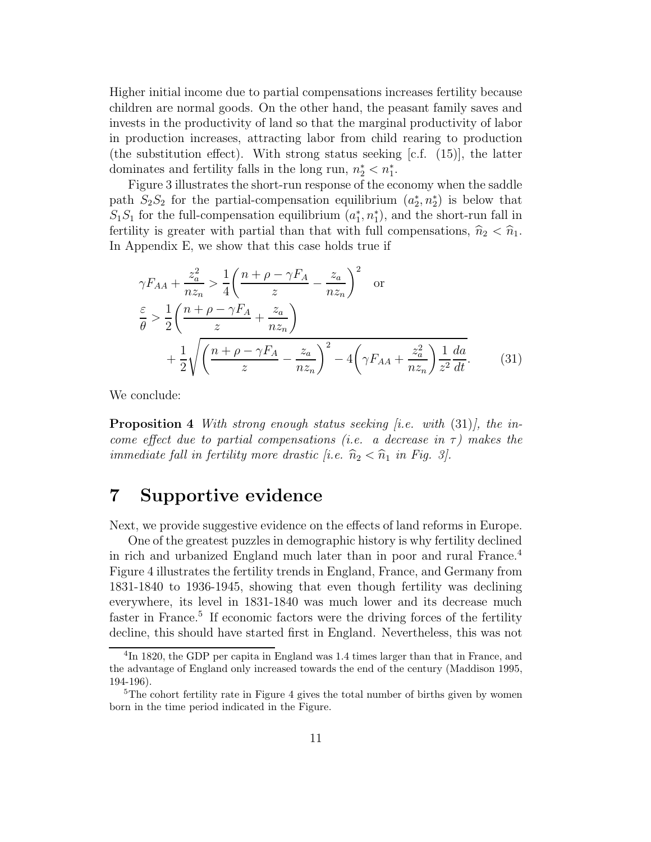Higher initial income due to partial compensations increases fertility because children are normal goods. On the other hand, the peasant family saves and invests in the productivity of land so that the marginal productivity of labor in production increases, attracting labor from child rearing to production (the substitution effect). With strong status seeking [c.f. (15)], the latter dominates and fertility falls in the long run,  $n_2^* < n_1^*$ .

Figure 3 illustrates the short-run response of the economy when the saddle path  $S_2S_2$  for the partial-compensation equilibrium  $(a_2^*, n_2^*)$  is below that  $S_1S_1$  for the full-compensation equilibrium  $(a_1^*, n_1^*)$ , and the short-run fall in fertility is greater with partial than that with full compensations,  $\hat{n}_2 < \hat{n}_1$ . In Appendix E, we show that this case holds true if

$$
\gamma F_{AA} + \frac{z_a^2}{nz_n} > \frac{1}{4} \left( \frac{n + \rho - \gamma F_A}{z} - \frac{z_a}{nz_n} \right)^2 \quad \text{or}
$$
  
\n
$$
\frac{\varepsilon}{\theta} > \frac{1}{2} \left( \frac{n + \rho - \gamma F_A}{z} + \frac{z_a}{nz_n} \right)
$$
  
\n
$$
+ \frac{1}{2} \sqrt{\left( \frac{n + \rho - \gamma F_A}{z} - \frac{z_a}{nz_n} \right)^2 - 4 \left( \gamma F_{AA} + \frac{z_a^2}{nz_n} \right) \frac{1}{z^2} \frac{da}{dt}}.
$$
 (31)

We conclude:

**Proposition 4** With strong enough status seeking  $[i.e.$  with  $(31)$ , the income effect due to partial compensations (i.e. a decrease in  $\tau$ ) makes the immediate fall in fertility more drastic [i.e.  $\widehat{n}_2 < \widehat{n}_1$  in Fig. 3].

#### **7 Supportive evidence**

Next, we provide suggestive evidence on the effects of land reforms in Europe.

One of the greatest puzzles in demographic history is why fertility declined in rich and urbanized England much later than in poor and rural France.<sup>4</sup> Figure 4 illustrates the fertility trends in England, France, and Germany from 1831-1840 to 1936-1945, showing that even though fertility was declining everywhere, its level in 1831-1840 was much lower and its decrease much faster in France.<sup>5</sup> If economic factors were the driving forces of the fertility decline, this should have started first in England. Nevertheless, this was not

<sup>4</sup>In 1820, the GDP per capita in England was 1.4 times larger than that in France, and the advantage of England only increased towards the end of the century (Maddison 1995, 194-196).

<sup>&</sup>lt;sup>5</sup>The cohort fertility rate in Figure 4 gives the total number of births given by women born in the time period indicated in the Figure.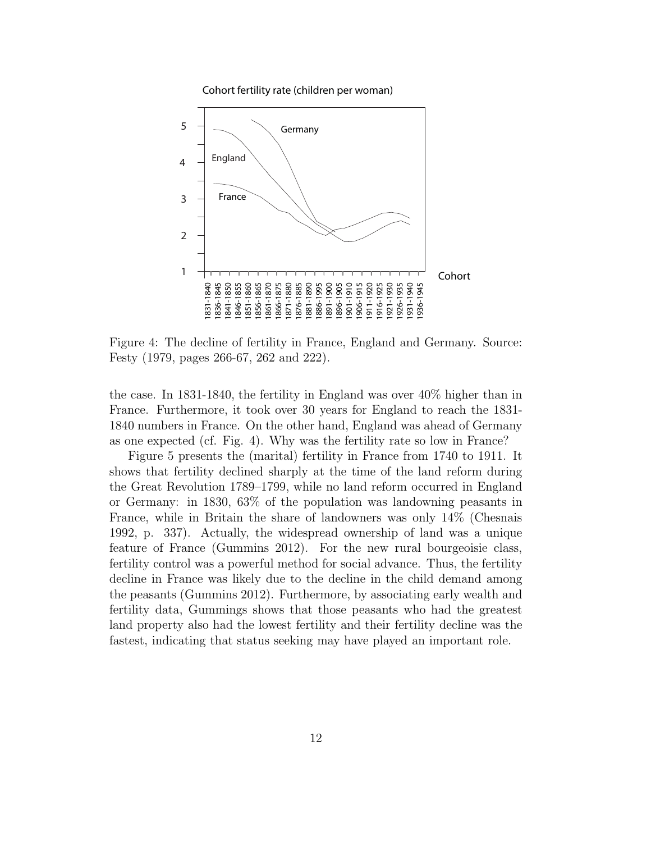

Cohort fertility rate (children per woman)

Figure 4: The decline of fertility in France, England and Germany. Source: Festy (1979, pages 266-67, 262 and 222).

the case. In 1831-1840, the fertility in England was over 40% higher than in France. Furthermore, it took over 30 years for England to reach the 1831- 1840 numbers in France. On the other hand, England was ahead of Germany as one expected (cf. Fig. 4). Why was the fertility rate so low in France?

Figure 5 presents the (marital) fertility in France from 1740 to 1911. It shows that fertility declined sharply at the time of the land reform during the Great Revolution 1789–1799, while no land reform occurred in England or Germany: in 1830, 63% of the population was landowning peasants in France, while in Britain the share of landowners was only 14% (Chesnais 1992, p. 337). Actually, the widespread ownership of land was a unique feature of France (Gummins 2012). For the new rural bourgeoisie class, fertility control was a powerful method for social advance. Thus, the fertility decline in France was likely due to the decline in the child demand among the peasants (Gummins 2012). Furthermore, by associating early wealth and fertility data, Gummings shows that those peasants who had the greatest land property also had the lowest fertility and their fertility decline was the fastest, indicating that status seeking may have played an important role.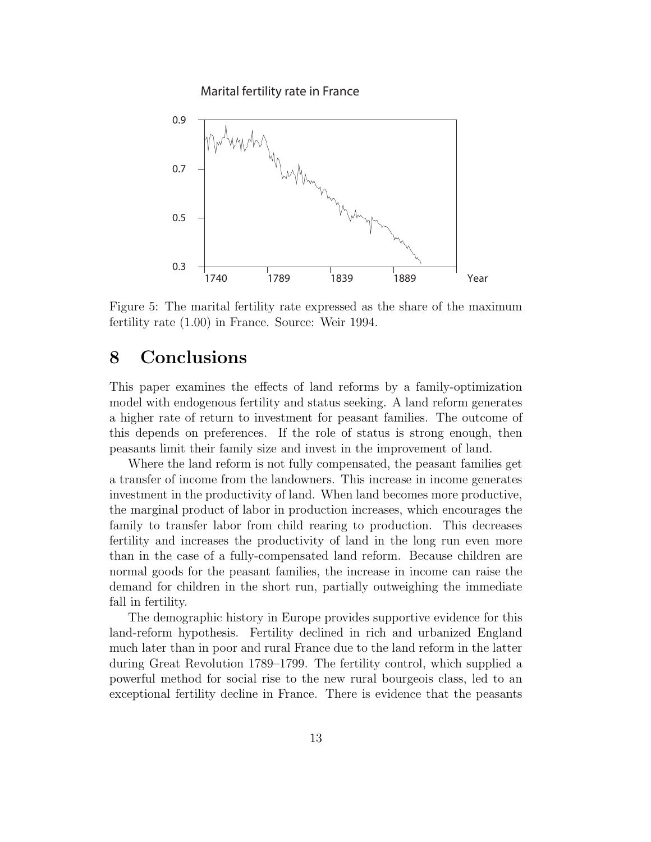Marital fertility rate in France



Figure 5: The marital fertility rate expressed as the share of the maximum fertility rate (1.00) in France. Source: Weir 1994.

#### **8 Conclusions**

This paper examines the effects of land reforms by a family-optimization model with endogenous fertility and status seeking. A land reform generates a higher rate of return to investment for peasant families. The outcome of this depends on preferences. If the role of status is strong enough, then peasants limit their family size and invest in the improvement of land.

Where the land reform is not fully compensated, the peasant families get a transfer of income from the landowners. This increase in income generates investment in the productivity of land. When land becomes more productive, the marginal product of labor in production increases, which encourages the family to transfer labor from child rearing to production. This decreases fertility and increases the productivity of land in the long run even more than in the case of a fully-compensated land reform. Because children are normal goods for the peasant families, the increase in income can raise the demand for children in the short run, partially outweighing the immediate fall in fertility.

The demographic history in Europe provides supportive evidence for this land-reform hypothesis. Fertility declined in rich and urbanized England much later than in poor and rural France due to the land reform in the latter during Great Revolution 1789–1799. The fertility control, which supplied a powerful method for social rise to the new rural bourgeois class, led to an exceptional fertility decline in France. There is evidence that the peasants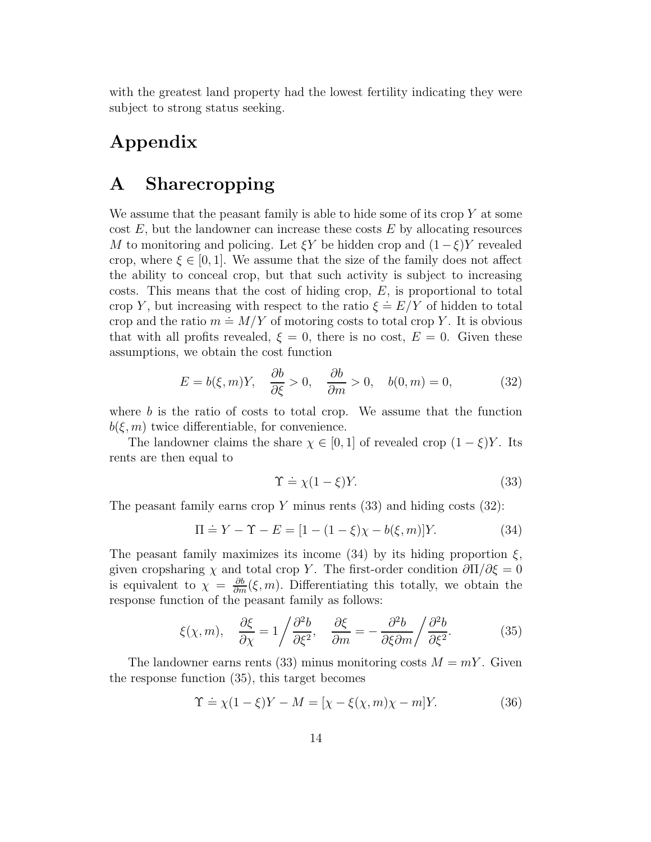with the greatest land property had the lowest fertility indicating they were subject to strong status seeking.

## **Appendix**

#### **A Sharecropping**

We assume that the peasant family is able to hide some of its crop  $Y$  at some cost  $E$ , but the landowner can increase these costs  $E$  by allocating resources M to monitoring and policing. Let  $\xi Y$  be hidden crop and  $(1-\xi)Y$  revealed crop, where  $\xi \in [0,1]$ . We assume that the size of the family does not affect the ability to conceal crop, but that such activity is subject to increasing costs. This means that the cost of hiding crop,  $E$ , is proportional to total costs. This means that the cost of maing crop,  $E$ , is proportional to total crop Y, but increasing with respect to the ratio  $\xi \doteq E/Y$  of hidden to total crop *r*, but increasing with respect to the ratio  $\zeta = E/T$  of inducent to total<br>crop and the ratio  $m \doteq M/Y$  of motoring costs to total crop *Y*. It is obvious that with all profits revealed,  $\xi = 0$ , there is no cost,  $E = 0$ . Given these assumptions, we obtain the cost function

$$
E = b(\xi, m)Y, \quad \frac{\partial b}{\partial \xi} > 0, \quad \frac{\partial b}{\partial m} > 0, \quad b(0, m) = 0,
$$
 (32)

where  $b$  is the ratio of costs to total crop. We assume that the function  $b(\xi,m)$  twice differentiable, for convenience.

The landowner claims the share  $\chi \in [0,1]$  of revealed crop  $(1-\xi)Y$ . Its rents are then equal to

$$
\Upsilon \doteq \chi(1-\xi)Y.\tag{33}
$$

The peasant family earns crop Y minus rents  $(33)$  and hiding costs  $(32)$ :

$$
\Pi \doteq Y - \Upsilon - E = [1 - (1 - \xi)\chi - b(\xi, m)]Y.
$$
 (34)

The peasant family maximizes its income  $(34)$  by its hiding proportion  $\xi$ , given cropsharing  $\chi$  and total crop Y. The first-order condition  $\partial\Pi/\partial\xi=0$ is equivalent to  $\chi = \frac{\partial b}{\partial m}(\xi, m)$ . Differentiating this totally, we obtain the response function of the peasant family as follows:

$$
\xi(\chi, m), \quad \frac{\partial \xi}{\partial \chi} = 1 / \frac{\partial^2 b}{\partial \xi^2}, \quad \frac{\partial \xi}{\partial m} = -\frac{\partial^2 b}{\partial \xi \partial m} / \frac{\partial^2 b}{\partial \xi^2}.
$$
 (35)

The landowner earns rents (33) minus monitoring costs  $M = mY$ . Given the response function (35), this target becomes

$$
\Upsilon \doteq \chi(1-\xi)Y - M = [\chi - \xi(\chi, m)\chi - m]Y. \tag{36}
$$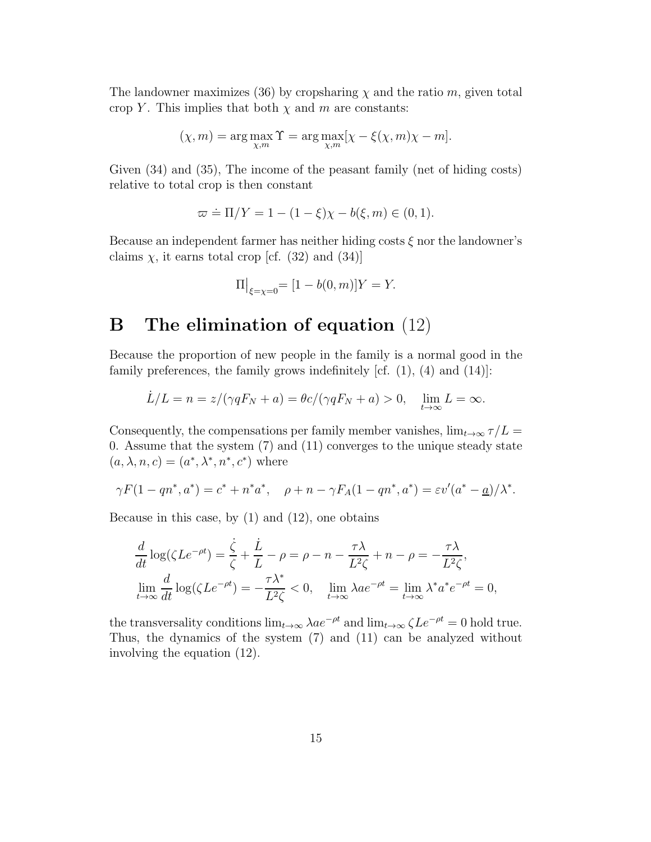The landowner maximizes (36) by cropsharing  $\chi$  and the ratio m, given total crop Y. This implies that both  $\chi$  and m are constants:

$$
(\chi, m) = \arg \max_{\chi, m} \Upsilon = \arg \max_{\chi, m} [\chi - \xi(\chi, m)\chi - m].
$$

Given (34) and (35), The income of the peasant family (net of hiding costs) relative to total crop is then constant

$$
\varpi \doteq \Pi/Y = 1 - (1 - \xi)\chi - b(\xi, m) \in (0, 1).
$$

Because an independent farmer has neither hiding costs  $\xi$  nor the landowner's claims  $\chi$ , it earns total crop [cf. (32) and (34)]

$$
\Pi\big|_{\xi=\chi=0} = [1 - b(0, m)]Y = Y.
$$

### **B The elimination of equation** (12)

Because the proportion of new people in the family is a normal good in the family preferences, the family grows indefinitely  $cf. (1), (4)$  and  $(14)$ :

$$
\dot{L}/L = n = z/(\gamma q F_N + a) = \theta c/(\gamma q F_N + a) > 0, \quad \lim_{t \to \infty} L = \infty.
$$

Consequently, the compensations per family member vanishes,  $\lim_{t\to\infty} \tau/L =$ 0. Assume that the system (7) and (11) converges to the unique steady state  $(a, \lambda, n, c) = (a^*, \lambda^*, n^*, c^*)$  where

$$
\gamma F(1 - qn^*, a^*) = c^* + n^*a^*, \quad \rho + n - \gamma F_A(1 - qn^*, a^*) = \varepsilon v'(a^* - \underline{a})/\lambda^*.
$$

Because in this case, by  $(1)$  and  $(12)$ , one obtains

$$
\frac{d}{dt}\log(\zeta Le^{-\rho t}) = \frac{\dot{\zeta}}{\zeta} + \frac{\dot{L}}{L} - \rho = \rho - n - \frac{\tau \lambda}{L^2 \zeta} + n - \rho = -\frac{\tau \lambda}{L^2 \zeta},
$$
  
\n
$$
\lim_{t \to \infty} \frac{d}{dt}\log(\zeta Le^{-\rho t}) = -\frac{\tau \lambda^*}{L^2 \zeta} < 0, \quad \lim_{t \to \infty} \lambda ae^{-\rho t} = \lim_{t \to \infty} \lambda^* a^* e^{-\rho t} = 0,
$$

the transversality conditions  $\lim_{t\to\infty} \lambda a e^{-\rho t}$  and  $\lim_{t\to\infty} \zeta L e^{-\rho t} = 0$  hold true. Thus, the dynamics of the system (7) and (11) can be analyzed without involving the equation (12).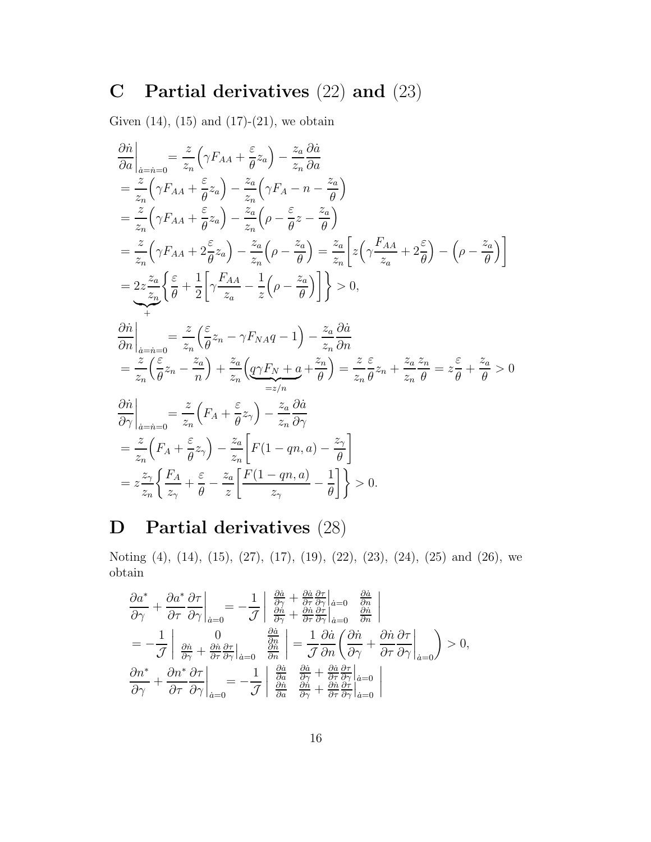# **C Partial derivatives** (22) **and** (23)

Given  $(14)$ ,  $(15)$  and  $(17)-(21)$ , we obtain

$$
\frac{\partial \dot{n}}{\partial a}\Big|_{\substack{a=\dot{n}=0}} = \frac{z}{z_n} \Big(\gamma F_{AA} + \frac{\varepsilon}{\theta} z_a\Big) - \frac{z_a}{z_n} \frac{\partial \dot{a}}{\partial a}
$$
\n
$$
= \frac{z}{z_n} \Big(\gamma F_{AA} + \frac{\varepsilon}{\theta} z_a\Big) - \frac{z_a}{z_n} \Big(\gamma F_A - n - \frac{z_a}{\theta}\Big)
$$
\n
$$
= \frac{z}{z_n} \Big(\gamma F_{AA} + \frac{\varepsilon}{\theta} z_a\Big) - \frac{z_a}{z_n} \Big(\rho - \frac{\varepsilon}{\theta} z - \frac{z_a}{\theta}\Big)
$$
\n
$$
= \frac{z}{z_n} \Big(\gamma F_{AA} + 2\frac{\varepsilon}{\theta} z_a\Big) - \frac{z_a}{z_n} \Big(\rho - \frac{z_a}{\theta}\Big) = \frac{z_a}{z_n} \Big[z \Big(\gamma \frac{F_{AA}}{z_a} + 2\frac{\varepsilon}{\theta}\Big) - \Big(\rho - \frac{z_a}{\theta}\Big)\Big]
$$
\n
$$
= 2z \frac{z_a}{z_n} \Big\{\frac{\varepsilon}{\theta} + \frac{1}{2} \Big[\gamma \frac{F_{AA}}{z_a} - \frac{1}{z} \Big(\rho - \frac{z_a}{\theta}\Big)\Big]\Big\} > 0,
$$
\n
$$
\frac{\partial \dot{n}}{\partial n} \Big|_{\substack{a=\dot{n}=0}} = \frac{z}{z_n} \Big(\frac{\varepsilon}{\theta} z_n - \gamma F_{NA}q - 1\Big) - \frac{z_a}{z_n} \frac{\partial \dot{a}}{\partial n}
$$
\n
$$
= \frac{z}{z_n} \Big(\frac{\varepsilon}{\theta} z_n - \frac{z_a}{n}\Big) + \frac{z_a}{z_n} \Big(\frac{q}{2F_N + a} + \frac{z_a}{\theta}\Big) = \frac{z}{z_n} \frac{\varepsilon}{\theta} z_n + \frac{z_a}{z_n} \frac{z_n}{\theta} = z \frac{\varepsilon}{\theta} + \frac{z_a}{\theta} > 0
$$
\n
$$
\frac{\partial \dot{n}}{\partial \gamma} \Big|_{\substack{a=\dot{n}=0}} = \frac{z}{z_n} \Big(F_A + \frac{\varepsilon}{\theta} z_\gamma\
$$

# **D Partial derivatives** (28)

Noting (4), (14), (15), (27), (17), (19), (22), (23), (24), (25) and (26), we obtain

$$
\frac{\partial a^*}{\partial \gamma} + \frac{\partial a^*}{\partial \tau} \frac{\partial \tau}{\partial \gamma} \Big|_{\dot{a}=0} = -\frac{1}{\mathcal{J}} \left| \begin{array}{c} \frac{\partial \dot{a}}{\partial \gamma} + \frac{\partial \dot{a}}{\partial \tau} \frac{\partial \tau}{\partial \gamma} \Big|_{\dot{a}=0} & \frac{\partial \dot{a}}{\partial n} \\ \frac{\partial \dot{n}}{\partial \gamma} + \frac{\partial \dot{n}}{\partial \tau} \frac{\partial \tau}{\partial \gamma} \Big|_{\dot{a}=0} & \frac{\partial \dot{n}}{\partial n} \end{array} \right|
$$
  
\n
$$
= -\frac{1}{\mathcal{J}} \left| \begin{array}{c} 0 & \frac{\partial \dot{a}}{\partial \gamma} \\ \frac{\partial \dot{n}}{\partial \gamma} + \frac{\partial \dot{n}}{\partial \tau} \frac{\partial \tau}{\partial \gamma} \Big|_{\dot{a}=0} & \frac{\partial \dot{n}}{\partial n} \end{array} \right| = \frac{1}{\mathcal{J}} \frac{\partial \dot{a}}{\partial n} \left( \frac{\partial \dot{n}}{\partial \gamma} + \frac{\partial \dot{n}}{\partial \tau} \frac{\partial \tau}{\partial \gamma} \Big|_{\dot{a}=0} \right) > 0,
$$
  
\n
$$
\frac{\partial n^*}{\partial \gamma} + \frac{\partial n^*}{\partial \tau} \frac{\partial \tau}{\partial \gamma} \Big|_{\dot{a}=0} = -\frac{1}{\mathcal{J}} \left| \begin{array}{c} \frac{\partial \dot{a}}{\partial a} & \frac{\partial \dot{a}}{\partial \gamma} + \frac{\partial \dot{a}}{\partial \tau} \frac{\partial \tau}{\partial \gamma} \Big|_{\dot{a}=0} \\ \frac{\partial \dot{n}}{\partial a} & \frac{\partial \dot{n}}{\partial \gamma} + \frac{\partial \dot{n}}{\partial \tau} \frac{\partial \tau}{\partial \gamma} \Big|_{\dot{a}=0} \end{array} \right|
$$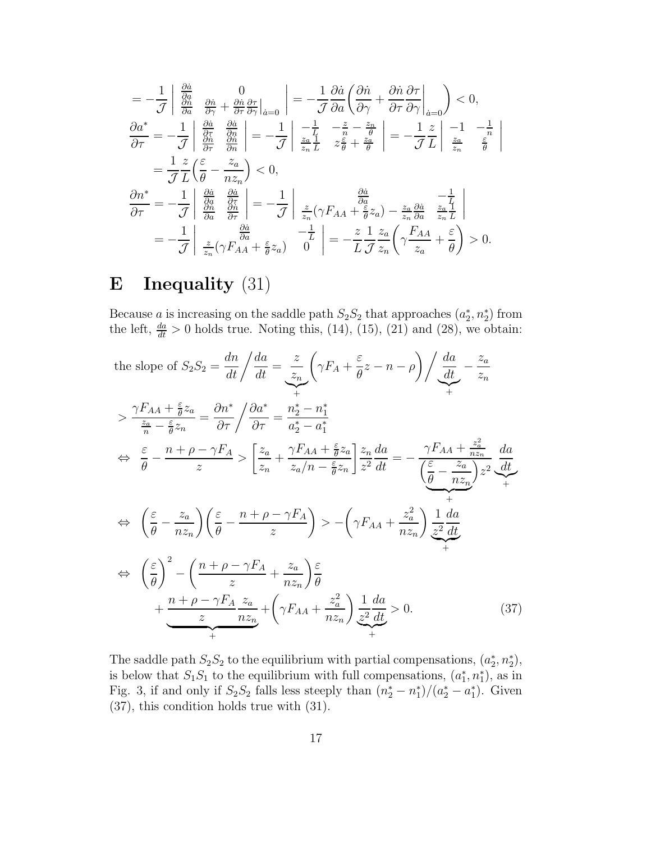$$
= -\frac{1}{\mathcal{J}} \begin{vmatrix} \frac{\partial \dot{a}}{\partial a} & 0\\ \frac{\partial \dot{a}}{\partial a} & \frac{\partial \dot{a}}{\partial \gamma} + \frac{\partial \dot{a}}{\partial \tau} \frac{\partial \tau}{\partial \gamma} \Big|_{\dot{a}=0} \end{vmatrix} = -\frac{1}{\mathcal{J}} \frac{\partial \dot{a}}{\partial a} \left( \frac{\partial \dot{n}}{\partial \gamma} + \frac{\partial \dot{n}}{\partial \tau} \frac{\partial \tau}{\partial \gamma} \Big|_{\dot{a}=0} \right) < 0,
$$
  
\n
$$
\frac{\partial a^*}{\partial \tau} = -\frac{1}{\mathcal{J}} \begin{vmatrix} \frac{\partial \dot{a}}{\partial a} & \frac{\partial \dot{a}}{\partial a} \\ \frac{\partial \dot{a}}{\partial \tau} & \frac{\partial \dot{a}}{\partial n} \end{vmatrix} = -\frac{1}{\mathcal{J}} \begin{vmatrix} -\frac{1}{L} & -\frac{z}{n} - \frac{z_n}{\theta} \\ \frac{z_n}{z_n} \frac{1}{L} & z \frac{\varepsilon}{\theta} + \frac{z_n}{\theta} \end{vmatrix} = -\frac{1}{\mathcal{J}} \frac{z}{L} \begin{vmatrix} -1 & -\frac{1}{n} \\ \frac{z_n}{z_n} & \frac{\varepsilon}{\theta} \end{vmatrix}
$$
  
\n
$$
= \frac{1}{\mathcal{J}} \frac{z}{L} \left( \frac{\varepsilon}{\theta} - \frac{z_a}{nz_n} \right) < 0,
$$
  
\n
$$
\frac{\partial n^*}{\partial \tau} = -\frac{1}{\mathcal{J}} \begin{vmatrix} \frac{\partial \dot{a}}{\partial a} & \frac{\partial \dot{a}}{\partial \tau} \\ \frac{\partial \dot{a}}{\partial a} & \frac{\partial \dot{a}}{\partial \tau} \end{vmatrix} = -\frac{1}{\mathcal{J}} \begin{vmatrix} \frac{z}{z_n} (\gamma F_{AA} + \frac{\varepsilon}{\theta} z_a) - \frac{z_a}{z_n} \frac{\partial \dot{a}}{\partial a} & \frac{z_a}{z_n} \frac{1}{L} \end{vmatrix}
$$
  
\n
$$
= -\frac{1}{\mathcal{J}} \begin{vmatrix} \frac{\partial \dot{a}}{\partial a} & \frac{\partial
$$

# **E Inequality** (31)

Because a is increasing on the saddle path  $S_2S_2$  that approaches  $(a_2^*, n_2^*)$  from the left,  $\frac{da}{dt} > 0$  holds true. Noting this, (14), (15), (21) and (28), we obtain:

the slope of 
$$
S_2S_2 = \frac{dn}{dt} / \frac{da}{dt} = \frac{z}{z_n} \left( \gamma F_A + \frac{\varepsilon}{\theta} z - n - \rho \right) / \frac{da}{dt} - \frac{z_a}{z_n}
$$
  
\n $\Rightarrow \frac{\gamma F_{AA} + \frac{\varepsilon}{\theta} z_a}{\frac{z_a}{n} - \frac{\varepsilon}{\theta} z_n} = \frac{\partial n^*}{\partial \tau} / \frac{\partial a^*}{\partial \tau} = \frac{n^*_{2} - n^*_{1}}{a^*_{2} - a^*_{1}}$   
\n $\Leftrightarrow \frac{\varepsilon}{\theta} - \frac{n + \rho - \gamma F_A}{z} > \left[ \frac{z_a}{z_n} + \frac{\gamma F_{AA} + \frac{\varepsilon}{\theta} z_a}{z_a/n - \frac{\varepsilon}{\theta} z_n} \right] \frac{z_n}{z^2} \frac{da}{dt} = -\frac{\gamma F_{AA} + \frac{z_a^2}{n z_n}}{\left( \frac{\varepsilon}{\theta} - \frac{z_a}{n z_n} \right) z^2} \frac{da}{dt}$   
\n $\Leftrightarrow \left( \frac{\varepsilon}{\theta} - \frac{z_a}{n z_n} \right) \left( \frac{\varepsilon}{\theta} - \frac{n + \rho - \gamma F_A}{z} \right) > -\left( \gamma F_{AA} + \frac{z_a^2}{n z_n} \right) \frac{1}{z^2} \frac{da}{dt}$   
\n $\Leftrightarrow \left( \frac{\varepsilon}{\theta} \right)^2 - \left( \frac{n + \rho - \gamma F_A}{z} + \frac{z_a}{n z_n} \right) \frac{\varepsilon}{\theta}$   
\n $+ \frac{n + \rho - \gamma F_A}{z} \frac{z_a}{n z_n} + \left( \gamma F_{AA} + \frac{z_a^2}{n z_n} \right) \frac{1}{z^2} \frac{da}{dt} > 0.$  (37)

The saddle path  $S_2S_2$  to the equilibrium with partial compensations,  $(a_2^*, n_2^*)$ , is below that  $S_1S_1$  to the equilibrium with full compensations,  $(a_1^*, n_1^*)$ , as in Fig. 3, if and only if  $S_2S_2$  falls less steeply than  $(n_2^* - n_1^*)/(a_2^* - a_1^*)$ . Given (37), this condition holds true with (31).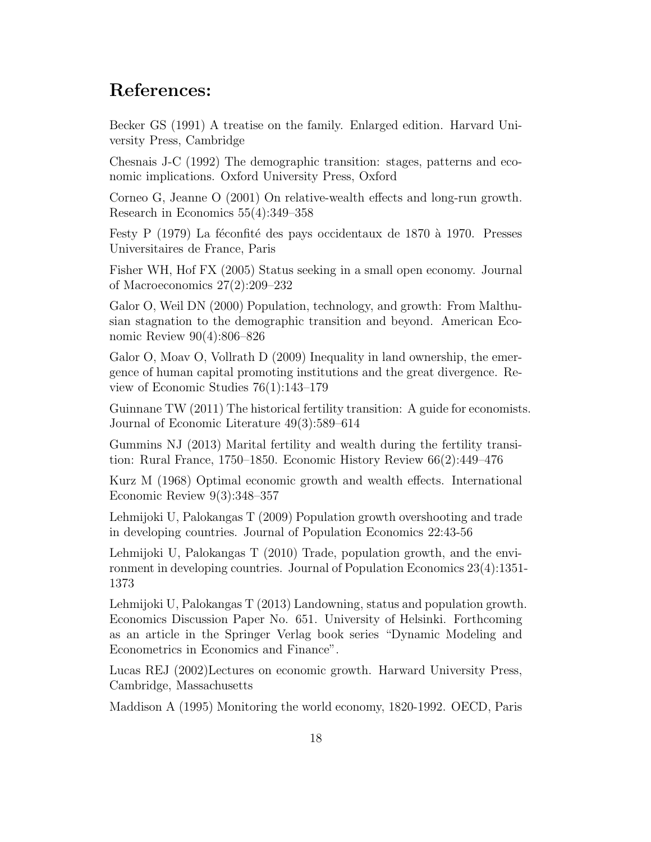### **References:**

Becker GS (1991) A treatise on the family. Enlarged edition. Harvard University Press, Cambridge

Chesnais J-C (1992) The demographic transition: stages, patterns and economic implications. Oxford University Press, Oxford

Corneo G, Jeanne O (2001) On relative-wealth effects and long-run growth. Research in Economics 55(4):349–358

Festy P (1979) La féconfité des pays occidentaux de 1870 à 1970. Presses Universitaires de France, Paris

Fisher WH, Hof FX (2005) Status seeking in a small open economy. Journal of Macroeconomics 27(2):209–232

Galor O, Weil DN (2000) Population, technology, and growth: From Malthusian stagnation to the demographic transition and beyond. American Economic Review 90(4):806–826

Galor O, Moav O, Vollrath D (2009) Inequality in land ownership, the emergence of human capital promoting institutions and the great divergence. Review of Economic Studies 76(1):143–179

Guinnane TW (2011) The historical fertility transition: A guide for economists. Journal of Economic Literature 49(3):589–614

Gummins NJ (2013) Marital fertility and wealth during the fertility transition: Rural France, 1750–1850. Economic History Review 66(2):449–476

Kurz M (1968) Optimal economic growth and wealth effects. International Economic Review 9(3):348–357

Lehmijoki U, Palokangas T (2009) Population growth overshooting and trade in developing countries. Journal of Population Economics 22:43-56

Lehmijoki U, Palokangas T (2010) Trade, population growth, and the environment in developing countries. Journal of Population Economics 23(4):1351- 1373

Lehmijoki U, Palokangas T (2013) Landowning, status and population growth. Economics Discussion Paper No. 651. University of Helsinki. Forthcoming as an article in the Springer Verlag book series "Dynamic Modeling and Econometrics in Economics and Finance".

Lucas REJ (2002)Lectures on economic growth. Harward University Press, Cambridge, Massachusetts

Maddison A (1995) Monitoring the world economy, 1820-1992. OECD, Paris